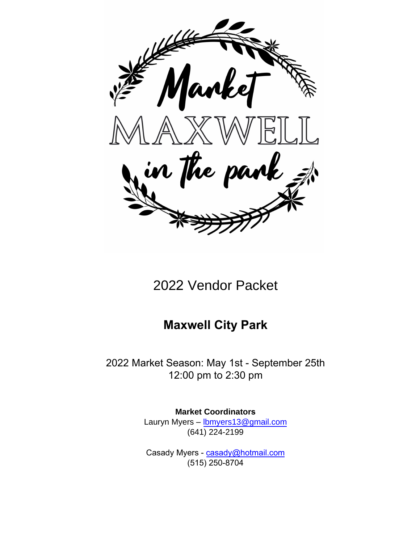

2022 Vendor Packet

# **Maxwell City Park**

2022 Market Season: May 1st - September 25th 12:00 pm to 2:30 pm

> **Market Coordinators** Lauryn Myers - lbmyers13@gmail.com (641) 224-2199

Casady Myers - casady@hotmail.com (515) [250-8704](mailto:lbmyers13@gmail.com)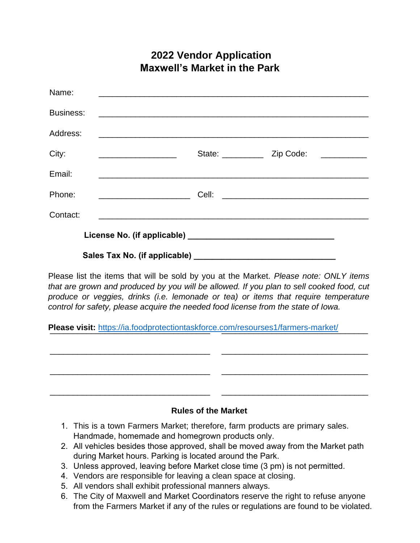### **2022 Vendor Application Maxwell's Market in the Park**

| Name:            |                                                                                                                      |  |  |
|------------------|----------------------------------------------------------------------------------------------------------------------|--|--|
| <b>Business:</b> | <u> 2000 - Jan James James James James James James James James James James James James James James James James J</u> |  |  |
| Address:         |                                                                                                                      |  |  |
| City:            |                                                                                                                      |  |  |
| Email:           | <u> 1989 - Johann Stoff, amerikansk politiker (d. 1989)</u>                                                          |  |  |
| Phone:           |                                                                                                                      |  |  |
| Contact:         |                                                                                                                      |  |  |
|                  |                                                                                                                      |  |  |
|                  | Sales Tax No. (if applicable)                                                                                        |  |  |

Please list the items that will be sold by you at the Market. *Please note: ONLY items that are grow[n and produced by you will be allowed. If you plan to sell cooked fo](https://ia.foodprotectiontaskforce.com/resourses1/farmers-market/)od, cut produce or veggies, drinks (i.e. lemonade or tea) or items that require temperature control for safety, please acquire the needed food license from the state of Iowa.* 

\_\_\_\_\_\_\_\_\_\_\_\_\_\_\_\_\_\_\_\_\_\_\_\_\_\_\_\_\_\_\_\_\_\_\_ \_\_\_\_\_\_\_\_\_\_\_\_\_\_\_\_\_\_\_\_\_\_\_\_\_\_\_\_\_\_\_\_

\_\_\_\_\_\_\_\_\_\_\_\_\_\_\_\_\_\_\_\_\_\_\_\_\_\_\_\_\_\_\_\_\_\_\_ \_\_\_\_\_\_\_\_\_\_\_\_\_\_\_\_\_\_\_\_\_\_\_\_\_\_\_\_\_\_\_\_

\_\_\_\_\_\_\_\_\_\_\_\_\_\_\_\_\_\_\_\_\_\_\_\_\_\_\_\_\_\_\_\_\_\_\_ \_\_\_\_\_\_\_\_\_\_\_\_\_\_\_\_\_\_\_\_\_\_\_\_\_\_\_\_\_\_\_\_

Please visit: https://ia.foodprotectiontaskforce.com/resourses1/farmers-market/

#### **Rules of the Market**

- 1. This is a town Farmers Market; therefore, farm products are primary sales. Handmade, homemade and homegrown products only.
- 2. All vehicles besides those approved, shall be moved away from the Market path during Market hours. Parking is located around the Park.
- 3. Unless approved, leaving before Market close time (3 pm) is not permitted.
- 4. Vendors are responsible for leaving a clean space at closing.
- 5. All vendors shall exhibit professional manners always.
- 6. The City of Maxwell and Market Coordinators reserve the right to refuse anyone from the Farmers Market if any of the rules or regulations are found to be violated.